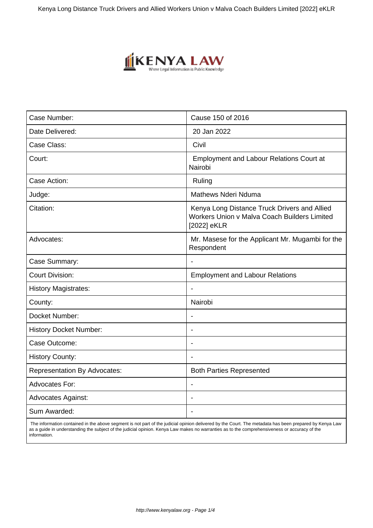

| Case Number:                        | Cause 150 of 2016                                                                                           |
|-------------------------------------|-------------------------------------------------------------------------------------------------------------|
|                                     |                                                                                                             |
| Date Delivered:                     | 20 Jan 2022                                                                                                 |
| Case Class:                         | Civil                                                                                                       |
| Court:                              | <b>Employment and Labour Relations Court at</b><br>Nairobi                                                  |
| Case Action:                        | Ruling                                                                                                      |
| Judge:                              | <b>Mathews Nderi Nduma</b>                                                                                  |
| Citation:                           | Kenya Long Distance Truck Drivers and Allied<br>Workers Union v Malva Coach Builders Limited<br>[2022] eKLR |
| Advocates:                          | Mr. Masese for the Applicant Mr. Mugambi for the<br>Respondent                                              |
| Case Summary:                       | $\blacksquare$                                                                                              |
| <b>Court Division:</b>              | <b>Employment and Labour Relations</b>                                                                      |
| <b>History Magistrates:</b>         |                                                                                                             |
| County:                             | Nairobi                                                                                                     |
| Docket Number:                      |                                                                                                             |
| <b>History Docket Number:</b>       |                                                                                                             |
| Case Outcome:                       |                                                                                                             |
| <b>History County:</b>              |                                                                                                             |
| <b>Representation By Advocates:</b> | <b>Both Parties Represented</b>                                                                             |
| Advocates For:                      |                                                                                                             |
| <b>Advocates Against:</b>           |                                                                                                             |
| Sum Awarded:                        | $\blacksquare$                                                                                              |
|                                     |                                                                                                             |

 The information contained in the above segment is not part of the judicial opinion delivered by the Court. The metadata has been prepared by Kenya Law as a guide in understanding the subject of the judicial opinion. Kenya Law makes no warranties as to the comprehensiveness or accuracy of the information.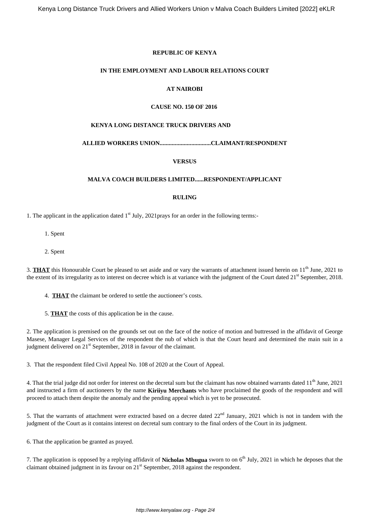## **REPUBLIC OF KENYA**

#### **IN THE EMPLOYMENT AND LABOUR RELATIONS COURT**

# **AT NAIROBI**

## **CAUSE NO. 150 OF 2016**

### **KENYA LONG DISTANCE TRUCK DRIVERS AND**

## **ALLIED WORKERS UNION..................................CLAIMANT/RESPONDENT**

## **VERSUS**

#### **MALVA COACH BUILDERS LIMITED......RESPONDENT/APPLICANT**

#### **RULING**

1. The applicant in the application dated  $1<sup>st</sup>$  July, 2021prays for an order in the following terms:-

- 1. Spent
- 2. Spent

3. **THAT** this Honourable Court be pleased to set aside and or vary the warrants of attachment issued herein on 11<sup>th</sup> June, 2021 to the extent of its irregularity as to interest on decree which is at variance with the judgment of the Court dated  $21<sup>st</sup>$  September, 2018.

4. **THAT** the claimant be ordered to settle the auctioneer's costs.

5. **THAT** the costs of this application be in the cause.

2. The application is premised on the grounds set out on the face of the notice of motion and buttressed in the affidavit of George Masese, Manager Legal Services of the respondent the nub of which is that the Court heard and determined the main suit in a judgment delivered on 21<sup>st</sup> September, 2018 in favour of the claimant.

3. That the respondent filed Civil Appeal No. 108 of 2020 at the Court of Appeal.

4. That the trial judge did not order for interest on the decretal sum but the claimant has now obtained warrants dated 11<sup>th</sup> June, 2021 and instructed a firm of auctioneers by the name **Kiriiyu Merchants** who have proclaimed the goods of the respondent and will proceed to attach them despite the anomaly and the pending appeal which is yet to be prosecuted.

5. That the warrants of attachment were extracted based on a decree dated 22<sup>nd</sup> January, 2021 which is not in tandem with the judgment of the Court as it contains interest on decretal sum contrary to the final orders of the Court in its judgment.

6. That the application be granted as prayed.

7. The application is opposed by a replying affidavit of **Nicholas Mbugua** sworn to on 6th July, 2021 in which he deposes that the claimant obtained judgment in its favour on 21<sup>st</sup> September, 2018 against the respondent.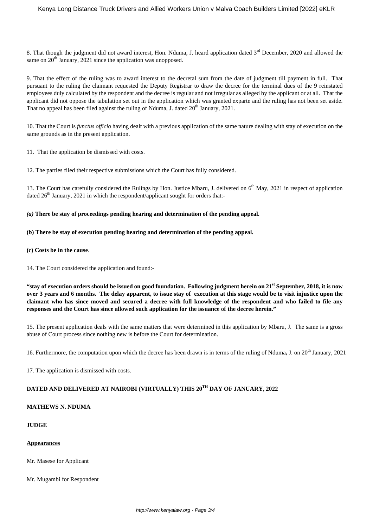8. That though the judgment did not award interest. Hon. Nduma, J. heard application dated  $3<sup>rd</sup>$  December, 2020 and allowed the same on  $20<sup>th</sup>$  January, 2021 since the application was unopposed.

9. That the effect of the ruling was to award interest to the decretal sum from the date of judgment till payment in full. That pursuant to the ruling the claimant requested the Deputy Registrar to draw the decree for the terminal dues of the 9 reinstated employees duly calculated by the respondent and the decree is regular and not irregular as alleged by the applicant or at all. That the applicant did not oppose the tabulation set out in the application which was granted exparte and the ruling has not been set aside. That no appeal has been filed against the ruling of Nduma, J. dated 20<sup>th</sup> January, 2021.

10. That the Court is *functus officio* having dealt with a previous application of the same nature dealing with stay of execution on the same grounds as in the present application.

11. That the application be dismissed with costs.

12. The parties filed their respective submissions which the Court has fully considered.

13. The Court has carefully considered the Rulings by Hon. Justice Mbaru, J. delivered on 6<sup>th</sup> May, 2021 in respect of application dated  $26<sup>th</sup>$  January, 2021 in which the respondent/applicant sought for orders that:-

## *(a)* **There be stay of proceedings pending hearing and determination of the pending appeal.**

- **(b) There be stay of execution pending hearing and determination of the pending appeal.**
- **(c) Costs be in the cause**.
- 14. The Court considered the application and found:-

**"stay of execution orders should be issued on good foundation. Following judgment herein on 21st September, 2018, it is now over 3 years and 6 months. The delay apparent, to issue stay of execution at this stage would be to visit injustice upon the claimant who has since moved and secured a decree with full knowledge of the respondent and who failed to file any responses and the Court has since allowed such application for the issuance of the decree herein."**

15. The present application deals with the same matters that were determined in this application by Mbaru, J. The same is a gross abuse of Court process since nothing new is before the Court for determination.

16. Furthermore, the computation upon which the decree has been drawn is in terms of the ruling of Nduma, J. on 20<sup>th</sup> January, 2021

17. The application is dismissed with costs.

# **DATED AND DELIVERED AT NAIROBI (VIRTUALLY) THIS 20TH DAY OF JANUARY, 2022**

# **MATHEWS N. NDUMA**

#### **JUDGE**

#### **Appearances**

Mr. Masese for Applicant

Mr. Mugambi for Respondent